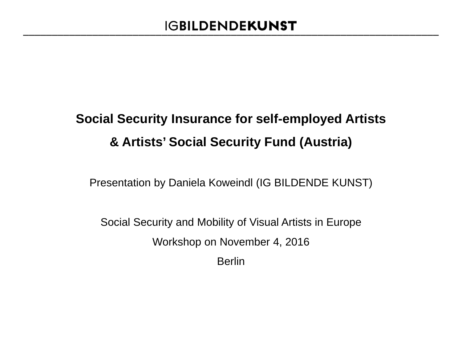# **Social Security Insurance for self-employed Artists & Artists' Social Security Fund (Austria)**

Presentation by Daniela Koweindl (IG BILDENDE KUNST)

Social Security and Mobility of Visual Artists in Europe Workshop on November 4, 2016 Berlin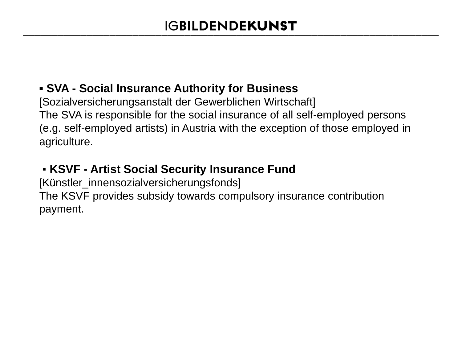### **▪ SVA - Social Insurance Authority for Business**

[Sozialversicherungsanstalt der Gewerblichen Wirtschaft] The SVA is responsible for the social insurance of all self-employed persons (e.g. self-employed artists) in Austria with the exception of those employed in agriculture.

### ▪ **KSVF - Artist Social Security Insurance Fund**

[Künstler\_innensozialversicherungsfonds] The KSVF provides subsidy towards compulsory insurance contribution payment.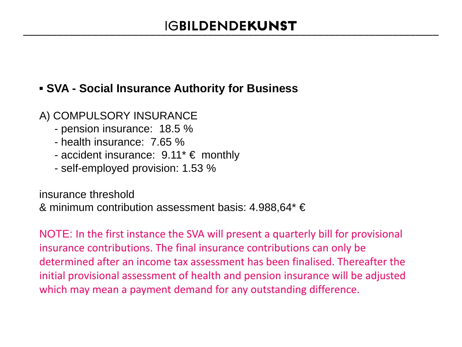#### **▪ SVA - Social Insurance Authority for Business**

#### A) COMPULSORY INSURANCE

- pension insurance: 18.5 %
- health insurance: 7.65 %
- accident insurance:  $9.11^* \in \text{monthly}$
- self-employed provision: 1.53 %

insurance threshold

& minimum contribution assessment basis: 4.988,64\* €

NOTE: In the first instance the SVA will present a quarterly bill for provisional insurance contributions. The final insurance contributions can only be determined after an income tax assessment has been finalised. Thereafter the initial provisional assessment of health and pension insurance will be adjusted which may mean a payment demand for any outstanding difference.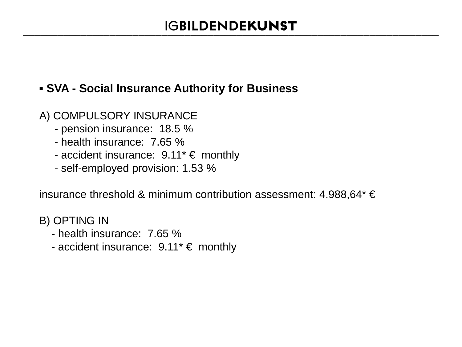#### **▪ SVA - Social Insurance Authority for Business**

#### A) COMPULSORY INSURANCE

- pension insurance: 18.5 %
- health insurance: 7.65 %
- accident insurance:  $9.11^* \in$  monthly
- self-employed provision: 1.53 %

insurance threshold & minimum contribution assessment: 4.988,64\* €

B) OPTING IN

- health insurance: 7.65 %
- accident insurance:  $9.11^* \in$  monthly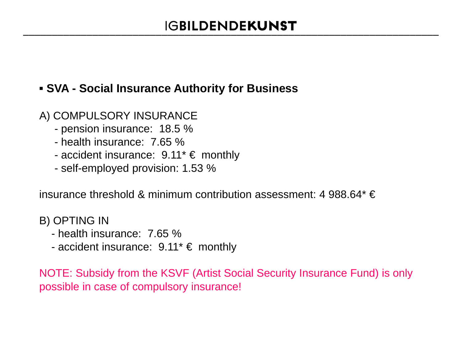#### **▪ SVA - Social Insurance Authority for Business**

#### A) COMPULSORY INSURANCE

- pension insurance: 18.5 %
- health insurance: 7.65 %
- accident insurance:  $9.11^* \in$  monthly
- self-employed provision: 1.53 %

insurance threshold & minimum contribution assessment: 4 988.64\* €

B) OPTING IN

- health insurance: 7.65 %
- accident insurance:  $9.11^* \in \text{monthly}$

NOTE: Subsidy from the KSVF (Artist Social Security Insurance Fund) is only possible in case of compulsory insurance!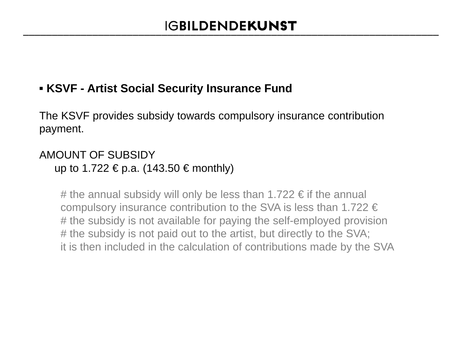### **▪ KSVF - Artist Social Security Insurance Fund**

The KSVF provides subsidy towards compulsory insurance contribution payment.

#### AMOUNT OF SUBSIDY up to 1.722 € p.a. (143.50 € monthly)

# the annual subsidy will only be less than 1.722  $\epsilon$  if the annual compulsory insurance contribution to the SVA is less than 1.722 € # the subsidy is not available for paying the self-employed provision # the subsidy is not paid out to the artist, but directly to the SVA; it is then included in the calculation of contributions made by the SVA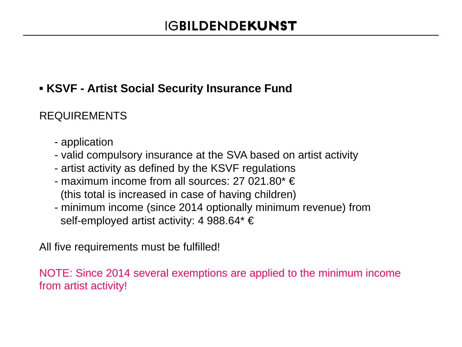### **▪ KSVF - Artist Social Security Insurance Fund**

### REQUIREMENTS

- application
- valid compulsory insurance at the SVA based on artist activity
- artist activity as defined by the KSVF regulations
- maximum income from all sources: 27 021.80 $* \in$ (this total is increased in case of having children)
- minimum income (since 2014 optionally minimum revenue) from self-employed artist activity: 4 988.64\* €

All five requirements must be fulfilled!

NOTE: Since 2014 several exemptions are applied to the minimum income from artist activity!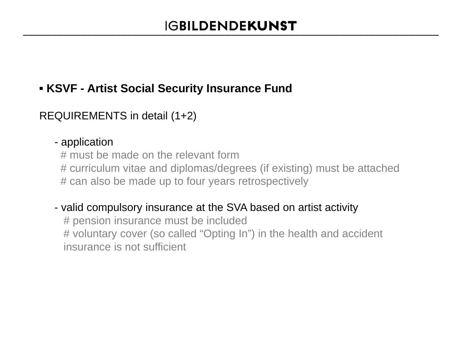### **▪ KSVF - Artist Social Security Insurance Fund**

REQUIREMENTS in detail (1+2)

#### - application

# must be made on the relevant form

 # curriculum vitae and diplomas/degrees (if existing) must be attached # can also be made up to four years retrospectively

#### - valid compulsory insurance at the SVA based on artist activity

 # pension insurance must be included # voluntary cover (so called "Opting In") in the health and accident insurance is not sufficient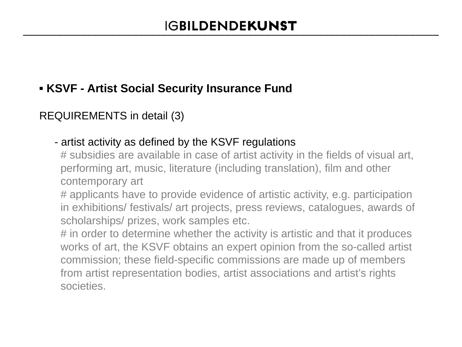### **▪ KSVF - Artist Social Security Insurance Fund**

#### REQUIREMENTS in detail (3)

#### - artist activity as defined by the KSVF regulations

 # subsidies are available in case of artist activity in the fields of visual art, performing art, music, literature (including translation), film and other contemporary art

 # applicants have to provide evidence of artistic activity, e.g. participation in exhibitions/ festivals/ art projects, press reviews, catalogues, awards of scholarships/ prizes, work samples etc.

# in order to determine whether the activity is artistic and that it produces works of art, the KSVF obtains an expert opinion from the so-called artist commission; these field-specific commissions are made up of members from artist representation bodies, artist associations and artist's rights societies.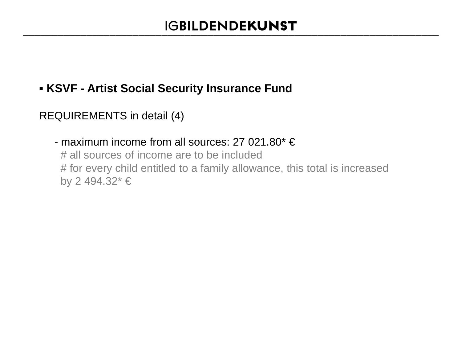### **▪ KSVF - Artist Social Security Insurance Fund**

REQUIREMENTS in detail (4)

 - maximum income from all sources: 27 021.80\* € # all sources of income are to be included # for every child entitled to a family allowance, this total is increased by 2 494.32\* €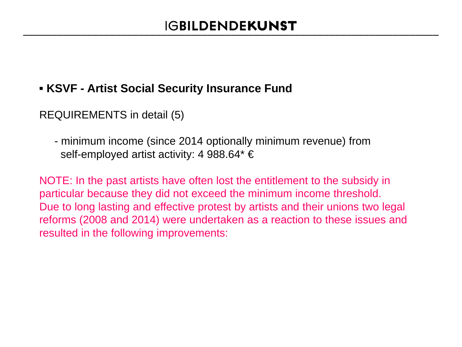#### **▪ KSVF - Artist Social Security Insurance Fund**

REQUIREMENTS in detail (5)

 - minimum income (since 2014 optionally minimum revenue) from self-employed artist activity: 4 988.64<sup>\*</sup> €

NOTE: In the past artists have often lost the entitlement to the subsidy in particular because they did not exceed the minimum income threshold. Due to long lasting and effective protest by artists and their unions two legal reforms (2008 and 2014) were undertaken as a reaction to these issues and resulted in the following improvements: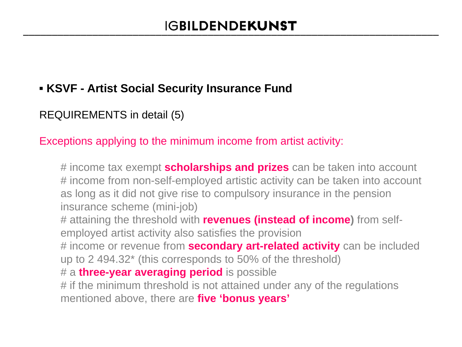### **▪ KSVF - Artist Social Security Insurance Fund**

#### REQUIREMENTS in detail (5)

Exceptions applying to the minimum income from artist activity:

 # income tax exempt **scholarships and prizes** can be taken into account # income from non-self-employed artistic activity can be taken into account as long as it did not give rise to compulsory insurance in the pension insurance scheme (mini-job) # attaining the threshold with **revenues (instead of income)** from self employed artist activity also satisfies the provision # income or revenue from **secondary art-related activity** can be included up to 2 494.32\* (this corresponds to 50% of the threshold) # a **three-year averaging period** is possible # if the minimum threshold is not attained under any of the regulations mentioned above, there are **five 'bonus years'**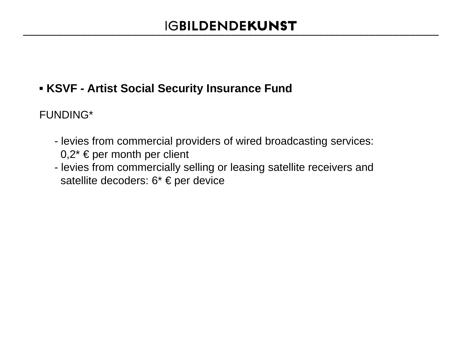### **▪ KSVF - Artist Social Security Insurance Fund**

#### FUNDING\*

- levies from commercial providers of wired broadcasting services:  $0,2^*$  € per month per client
- levies from commercially selling or leasing satellite receivers and satellite decoders: 6\* € per device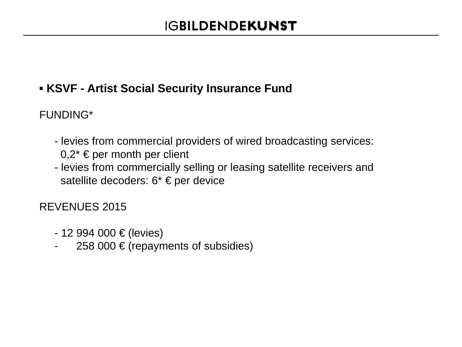### **▪ KSVF - Artist Social Security Insurance Fund**

### FUNDING\*

- levies from commercial providers of wired broadcasting services:  $0,2^* \in \mathsf{per}$  month per client
- levies from commercially selling or leasing satellite receivers and satellite decoders: 6\* € per device

REVENUES 2015

- $-12994000 \in (levies)$
- 258 000 € (repayments of subsidies)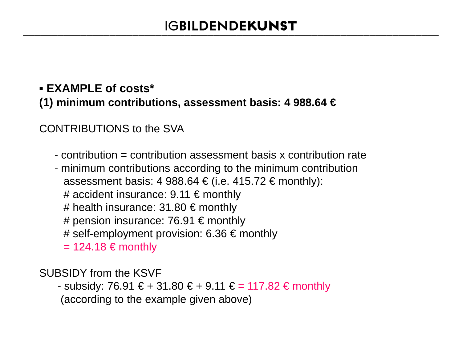### **▪ EXAMPLE of costs\* (1) minimum contributions, assessment basis: 4 988.64 €**

CONTRIBUTIONS to the SVA

- contribution = contribution assessment basis x contribution rate
- minimum contributions according to the minimum contribution assessment basis: 4 988.64 € (i.e. 415.72 € monthly): # accident insurance:  $9.11 \in \text{monthly}$ # health insurance:  $31.80 \in \text{month}$ # pension insurance: 76.91 € monthly # self-employment provision: 6.36 € monthly  $= 124.18 \in \text{month}$

SUBSIDY from the KSVF

- subsidy: 76.91 € + 31.80 € + 9.11 € = 117.82 € monthly (according to the example given above)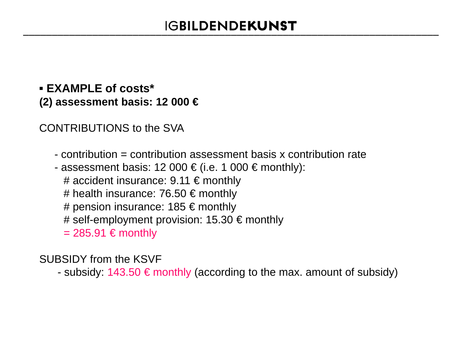#### **▪ EXAMPLE of costs\* (2) assessment basis: 12 000 €**

CONTRIBUTIONS to the SVA

- contribution = contribution assessment basis x contribution rate
- assessment basis: 12 000  $\epsilon$  (i.e. 1 000  $\epsilon$  monthly):
	- # accident insurance:  $9.11 \in \text{monthly}$
	- # health insurance: 76.50  $\epsilon$  monthly
	- # pension insurance:  $185 \in \text{month}$
	- # self-employment provision:  $15.30 \in \text{monthly}$
	- $= 285.91 \in \text{month}$

SUBSIDY from the KSVF

- subsidy:  $143.50 \in \text{monthly}$  (according to the max. amount of subsidy)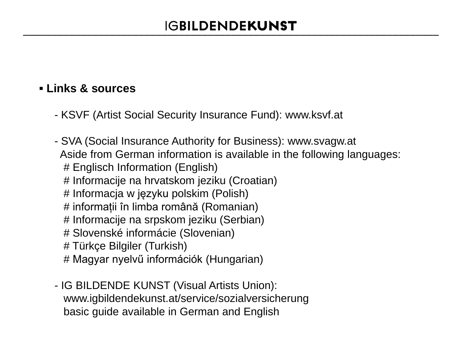#### **▪ Links & sources**

- KSVF (Artist Social Security Insurance Fund): www.ksvf.at

 - SVA (Social Insurance Authority for Business): www.svagw.at Aside from German information is available in the following languages: # Englisch Information (English) # Informacije na hrvatskom jeziku (Croatian) # Informacja w języku polskim (Polish) # informații în limba română (Romanian) # Informacije na srpskom jeziku (Serbian) # Slovenské informácie (Slovenian) # Türkçe Bilgiler (Turkish) # Magyar nyelvű információk (Hungarian)

 - IG BILDENDE KUNST (Visual Artists Union): www.igbildendekunst.at/service/sozialversicherung basic guide available in German and English